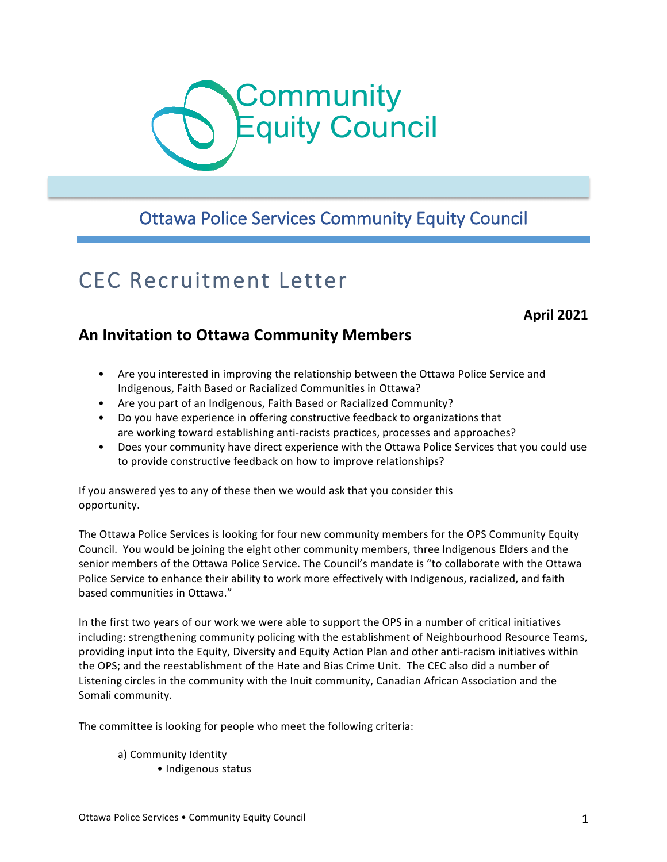

# Ottawa Police Services Community Equity Council

# CEC Recruitment Letter

# **April 2021**

# **An Invitation to Ottawa Community Members**

- Are you interested in improving the relationship between the Ottawa Police Service and Indigenous, Faith Based or Racialized Communities in Ottawa?
- Are you part of an Indigenous, Faith Based or Racialized Community?
- Do you have experience in offering constructive feedback to organizations that are working toward establishing anti-racists practices, processes and approaches?
- Does your community have direct experience with the Ottawa Police Services that you could use to provide constructive feedback on how to improve relationships?

If you answered yes to any of these then we would ask that you consider this opportunity.

The Ottawa Police Services is looking for four new community members for the OPS Community Equity Council. You would be joining the eight other community members, three Indigenous Elders and the senior members of the Ottawa Police Service. The Council's mandate is "to collaborate with the Ottawa Police Service to enhance their ability to work more effectively with Indigenous, racialized, and faith based communities in Ottawa."

In the first two years of our work we were able to support the OPS in a number of critical initiatives including: strengthening community policing with the establishment of Neighbourhood Resource Teams, providing input into the Equity, Diversity and Equity Action Plan and other anti-racism initiatives within the OPS; and the reestablishment of the Hate and Bias Crime Unit. The CEC also did a number of Listening circles in the community with the Inuit community, Canadian African Association and the Somali community.

The committee is looking for people who meet the following criteria:

a) Community Identity

• Indigenous status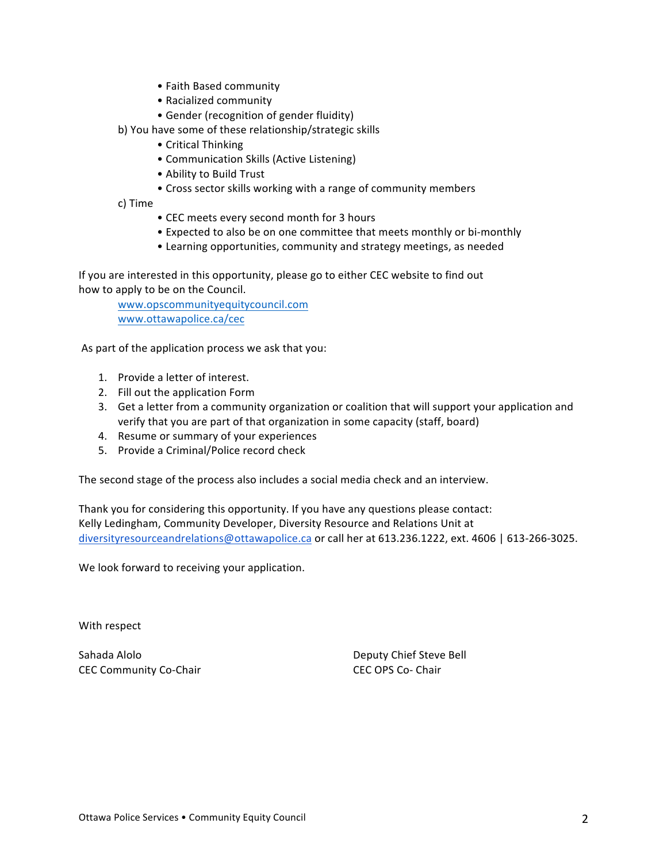- Faith Based community
- Racialized community
- Gender (recognition of gender fluidity)
- b) You have some of these relationship/strategic skills
	- Critical Thinking
	- Communication Skills (Active Listening)
	- Ability to Build Trust
	- Cross sector skills working with a range of community members

c) Time

- CEC meets every second month for 3 hours
- Expected to also be on one committee that meets monthly or bi-monthly
- Learning opportunities, community and strategy meetings, as needed

If you are interested in this opportunity, please go to either CEC website to find out how to apply to be on the Council.

www.opscommunityequitycouncil.com www.ottawapolice.ca/cec

As part of the application process we ask that you:

- 1. Provide a letter of interest.
- 2. Fill out the application Form
- 3. Get a letter from a community organization or coalition that will support your application and verify that you are part of that organization in some capacity (staff, board)
- 4. Resume or summary of your experiences
- 5. Provide a Criminal/Police record check

The second stage of the process also includes a social media check and an interview.

Thank you for considering this opportunity. If you have any questions please contact: Kelly Ledingham, Community Developer, Diversity Resource and Relations Unit at diversityresourceandrelations@ottawapolice.ca or call her at 613.236.1222, ext. 4606 | 613-266-3025.

We look forward to receiving your application.

With respect

Sahada Alolo **Deputy Chief Steve Bell** CEC Community Co-Chair Community Co-Chair